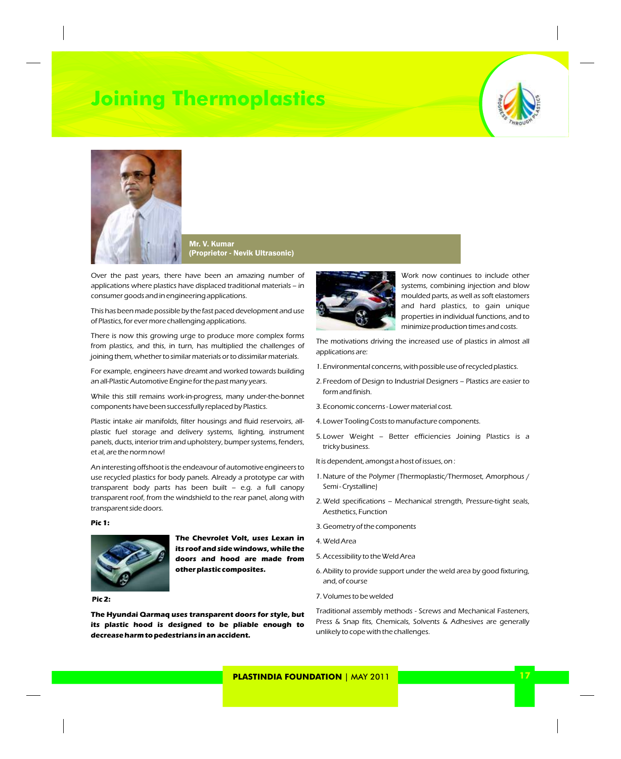# **Joining Thermoplastics**





Mr. V. Kumar (Proprietor - Nevik Ultrasonic)

Over the past years, there have been an amazing number of applications where plastics have displaced traditional materials – in consumer goods and in engineering applications.

This has been made possible by the fast paced development and use of Plastics, for ever more challenging applications.

There is now this growing urge to produce more complex forms from plastics, and this, in turn, has multiplied the challenges of joining them, whether to similar materials or to dissimilar materials.

For example, engineers have dreamt and worked towards building an all-Plastic Automotive Engine for the past many years.

While this still remains work-in-progress, many under-the-bonnet components have been successfully replaced by Plastics.

Plastic intake air manifolds, filter housings and fluid reservoirs, allplastic fuel storage and delivery systems, lighting, instrument panels, ducts, interior trim and upholstery, bumper systems, fenders, et al, are the norm now!

An interesting offshoot is the endeavour of automotive engineers to use recycled plastics for body panels. Already a prototype car with transparent body parts has been built – e.g. a full canopy transparent roof, from the windshield to the rear panel, along with transparent side doors.

**Pic 1:**



**The Chevrolet Volt, uses Lexan in its roof and side windows, while the doors and hood are made from other plastic composites.**

**Pic 2:**

**The Hyundai Qarmaq uses transparent doors for style, but its plastic hood is designed to be pliable enough to decrease harm to pedestrians in an accident.**



Work now continues to include other systems, combining injection and blow moulded parts, as well as soft elastomers and hard plastics, to gain unique properties in individual functions, and to minimize production times and costs.

The motivations driving the increased use of plastics in almost all applications are:

- 1. Environmental concerns, with possible use of recycled plastics.
- 2. Freedom of Design to Industrial Designers Plastics are easier to form and finish.
- 3. Economic concerns Lower material cost.
- 4. Lower Tooling Costs to manufacture components.
- 5. Lower Weight Better efficiencies Joining Plastics is a tricky business.
- It is dependent, amongst a host of issues, on :
- 1.Nature of the Polymer (Thermoplastic/Thermoset, Amorphous / Semi - Crystalline)
- 2.Weld specifications Mechanical strength, Pressure-tight seals, Aesthetics, Function
- 3.Geometry of the components
- 4.Weld Area
- 5.Accessibility to the Weld Area
- 6.Ability to provide support under the weld area by good fixturing, and, of course
- 7.Volumes to be welded

Traditional assembly methods - Screws and Mechanical Fasteners, Press & Snap fits, Chemicals, Solvents & Adhesives are generally unlikely to cope with the challenges.

**PLASTINDIA FOUNDATION** | MAY 2011 **17 17 17 17**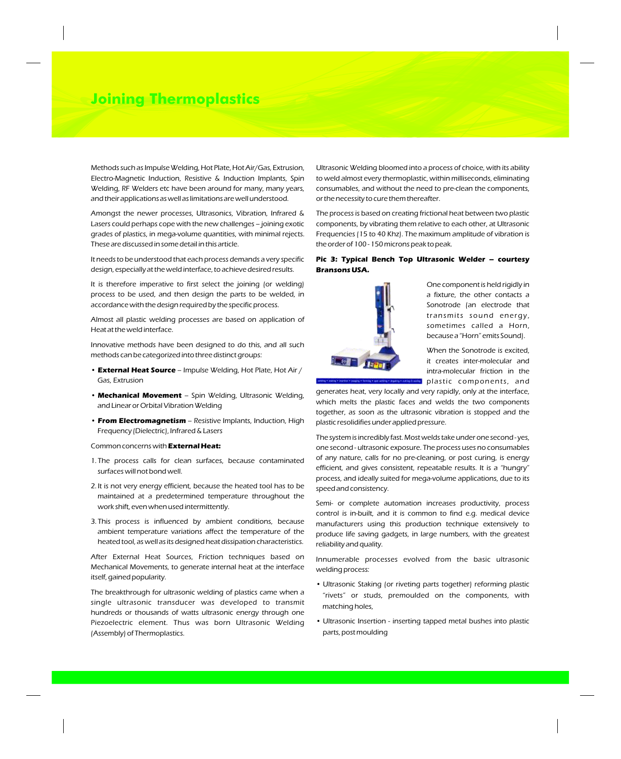# **Joining Thermoplastics**

Methods such as Impulse Welding, Hot Plate, Hot Air/Gas, Extrusion, Electro-Magnetic Induction, Resistive & Induction Implants, Spin Welding, RF Welders etc have been around for many, many years, and their applications as well as limitations are well understood.

Amongst the newer processes, Ultrasonics, Vibration, Infrared & Lasers could perhaps cope with the new challenges – joining exotic grades of plastics, in mega-volume quantities, with minimal rejects. These are discussed in some detail in this article.

It needs to be understood that each process demands a very specific design, especially at the weld interface, to achieve desired results.

It is therefore imperative to first select the joining (or welding) process to be used, and then design the parts to be welded, in accordance with the design required by the specific process.

Almost all plastic welding processes are based on application of Heat at the weld interface.

Innovative methods have been designed to do this, and all such methods can be categorized into three distinct groups:

- **External Heat Source** Impulse Welding, Hot Plate, Hot Air / Gas, Extrusion
- **Mechanical Movement** Spin Welding, Ultrasonic Welding, and Linear or Orbital Vibration Welding
- **From Electromagnetism** Resistive Implants, Induction, High Frequency (Dielectric), Infrared & Lasers

#### Common concerns with **External Heat:**

- 1. The process calls for clean surfaces, because contaminated surfaces will not bond well.
- 2. It is not very energy efficient, because the heated tool has to be maintained at a predetermined temperature throughout the work shift, even when used intermittently.
- 3. This process is influenced by ambient conditions, because ambient temperature variations affect the temperature of the heated tool, as well as its designed heat dissipation characteristics.

After External Heat Sources, Friction techniques based on Mechanical Movements, to generate internal heat at the interface itself, gained popularity.

The breakthrough for ultrasonic welding of plastics came when a single ultrasonic transducer was developed to transmit hundreds or thousands of watts ultrasonic energy through one Piezoelectric element. Thus was born Ultrasonic Welding (Assembly) of Thermoplastics.

Ultrasonic Welding bloomed into a process of choice, with its ability to weld almost every thermoplastic, within milliseconds, eliminating consumables, and without the need to pre-clean the components, or the necessity to cure them thereafter.

The process is based on creating frictional heat between two plastic components, by vibrating them relative to each other, at Ultrasonic Frequencies (15 to 40 Khz). The maximum amplitude of vibration is the order of 100 - 150 microns peak to peak.

### **Pic 3: Typical Bench Top Ultrasonic Welder – courtesy Bransons USA.**



One component is held rigidly in a fixture, the other contacts a Sonotrode (an electrode that transmits sound energy, sometimes called a Horn, because a "Horn" emits Sound).

When the Sonotrode is excited, it creates inter-molecular and intra-molecular friction in the plastic components, and

generates heat, very locally and very rapidly, only at the interface, which melts the plastic faces and welds the two components together, as soon as the ultrasonic vibration is stopped and the plastic resolidifies under applied pressure.

The system is incredibly fast. Most welds take under one second - yes, one second - ultrasonic exposure. The process uses no consumables of any nature, calls for no pre-cleaning, or post curing, is energy efficient, and gives consistent, repeatable results. It is a "hungry" process, and ideally suited for mega-volume applications, due to its speed and consistency.

Semi- or complete automation increases productivity, process control is in-built, and it is common to find e.g. medical device manufacturers using this production technique extensively to produce life saving gadgets, in large numbers, with the greatest reliability and quality.

Innumerable processes evolved from the basic ultrasonic welding process:

- Ultrasonic Staking (or riveting parts together) reforming plastic "rivets" or studs, premoulded on the components, with matching holes,
- Ultrasonic Insertion inserting tapped metal bushes into plastic parts, post moulding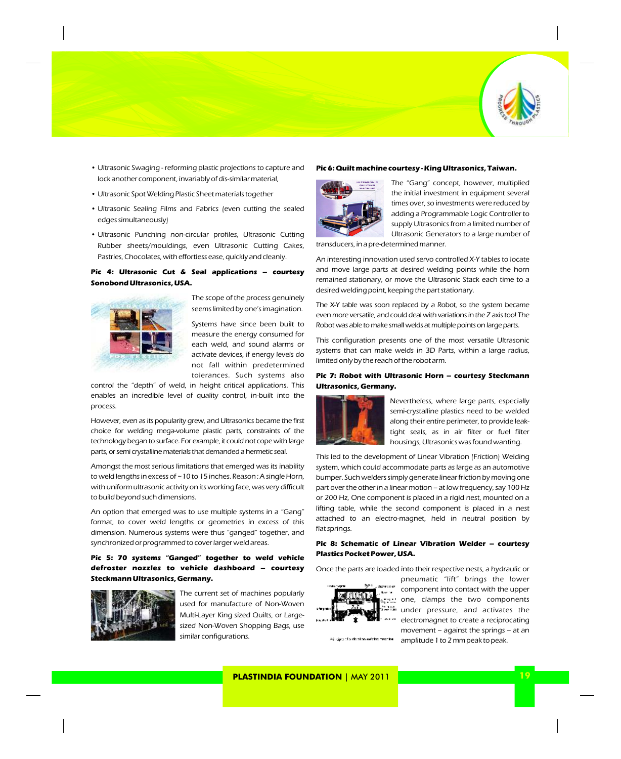

- Ultrasonic Swaging reforming plastic projections to capture and lock another component, invariably of dis-similar material,
- Ultrasonic Spot Welding Plastic Sheet materials together
- Ultrasonic Sealing Films and Fabrics (even cutting the sealed edges simultaneously)
- Ultrasonic Punching non-circular profiles, Ultrasonic Cutting Rubber sheets/mouldings, even Ultrasonic Cutting Cakes, Pastries, Chocolates, with effortless ease, quickly and cleanly.

# **Pic 4: Ultrasonic Cut & Seal applications – courtesy Sonobond Ultrasonics, USA.**



The scope of the process genuinely seems limited by one's imagination.

Systems have since been built to measure the energy consumed for each weld, and sound alarms or activate devices, if energy levels do not fall within predetermined tolerances. Such systems also

control the "depth" of weld, in height critical applications. This enables an incredible level of quality control, in-built into the process.

However, even as its popularity grew, and Ultrasonics became the first choice for welding mega-volume plastic parts, constraints of the technology began to surface. For example, it could not cope with large parts, or semi crystalline materials that demanded a hermetic seal.

Amongst the most serious limitations that emerged was its inability to weld lengths in excess of ~10 to 15 inches. Reason : A single Horn, with uniform ultrasonic activity on its working face, was very difficult to build beyond such dimensions.

An option that emerged was to use multiple systems in a "Gang" format, to cover weld lengths or geometries in excess of this dimension. Numerous systems were thus "ganged" together, and synchronized or programmed to cover larger weld areas.

### **Pic 5: 70 systems "Ganged" together to weld vehicle defroster nozzles to vehicle dashboard – courtesy Steckmann Ultrasonics, Germany.**



The current set of machines popularly used for manufacture of Non-Woven Multi-Layer King sized Quilts, or Largesized Non-Woven Shopping Bags, use similar configurations.

### **Pic 6: Quilt machine courtesy - King Ultrasonics, Taiwan.**



The "Gang" concept, however, multiplied the initial investment in equipment several times over, so investments were reduced by adding a Programmable Logic Controller to supply Ultrasonics from a limited number of Ultrasonic Generators to a large number of

transducers, in a pre-determined manner.

An interesting innovation used servo controlled X-Y tables to locate and move large parts at desired welding points while the horn remained stationary, or move the Ultrasonic Stack each time to a desired welding point, keeping the part stationary.

The X-Y table was soon replaced by a Robot, so the system became even more versatile, and could deal with variations in the Z axis too! The Robot was able to make small welds at multiple points on large parts.

This configuration presents one of the most versatile Ultrasonic systems that can make welds in 3D Parts, within a large radius, limited only by the reach of the robot arm.

### **Pic 7: Robot with Ultrasonic Horn – courtesy Steckmann Ultrasonics, Germany.**



Nevertheless, where large parts, especially semi-crystalline plastics need to be welded along their entire perimeter, to provide leaktight seals, as in air filter or fuel filter housings, Ultrasonics was found wanting.

This led to the development of Linear Vibration (Friction) Welding system, which could accommodate parts as large as an automotive bumper. Such welders simply generate linear friction by moving one part over the other in a linear motion – at low frequency, say 100 Hz or 200 Hz, One component is placed in a rigid nest, mounted on a lifting table, while the second component is placed in a nest attached to an electro-magnet, held in neutral position by flat springs.

### **Pic 8: Schematic of Linear Vibration Welder – courtesy Plastics Pocket Power, USA.**

Once the parts are loaded into their respective nests, a hydraulic or



component into contact with the upper one, clamps the two components under pressure, and activates the electromagnet to create a reciprocating movement – against the springs – at an Principle of a visual an welclog machine. amplitude 1 to 2 mm peak to peak.

pneumatic "lift" brings the lower

**PLASTINDIA FOUNDATION** | MAY 2011 **19**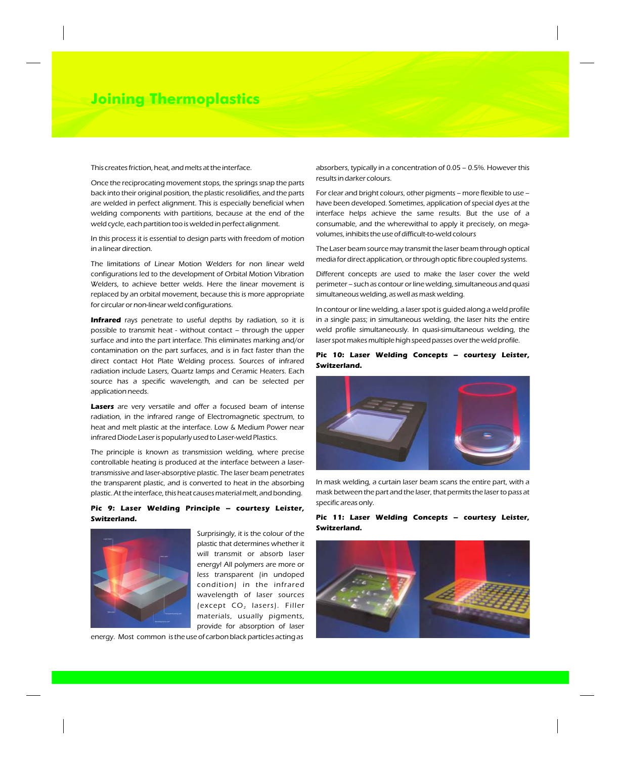# **Joining Thermoplastics**

This creates friction, heat, and melts at the interface.

Once the reciprocating movement stops, the springs snap the parts back into their original position, the plastic resolidifies, and the parts are welded in perfect alignment. This is especially beneficial when welding components with partitions, because at the end of the weld cycle, each partition too is welded in perfect alignment.

In this process it is essential to design parts with freedom of motion in a linear direction.

The limitations of Linear Motion Welders for non linear weld configurations led to the development of Orbital Motion Vibration Welders, to achieve better welds. Here the linear movement is replaced by an orbital movement, because this is more appropriate for circular or non-linear weld configurations.

**Infrared** rays penetrate to useful depths by radiation, so it is possible to transmit heat - without contact – through the upper surface and into the part interface. This eliminates marking and/or contamination on the part surfaces, and is in fact faster than the direct contact Hot Plate Welding process. Sources of infrared radiation include Lasers, Quartz lamps and Ceramic Heaters. Each source has a specific wavelength, and can be selected per application needs.

**Lasers** are very versatile and offer a focused beam of intense radiation, in the infrared range of Electromagnetic spectrum, to heat and melt plastic at the interface. Low & Medium Power near infrared Diode Laser is popularly used to Laser-weld Plastics.

The principle is known as transmission welding, where precise controllable heating is produced at the interface between a lasertransmissive and laser-absorptive plastic. The laser beam penetrates the transparent plastic, and is converted to heat in the absorbing plastic. At the interface, this heat causes material melt, and bonding.

## **Pic 9: Laser Welding Principle – courtesy Leister, Switzerland.**



Surprisingly, it is the colour of the plastic that determines whether it will transmit or absorb laser energy! All polymers are more or less transparent (in undoped condition) in the infrared wavelength of laser sources (except  $CO<sub>2</sub>$  lasers). Filler materials, usually pigments, provide for absorption of laser

energy. Most common is the use of carbon black particles acting as

absorbers, typically in a concentration of 0.05 – 0.5%. However this results in darker colours.

For clear and bright colours, other pigments – more flexible to use – have been developed. Sometimes, application of special dyes at the interface helps achieve the same results. But the use of a consumable, and the wherewithal to apply it precisely, on megavolumes, inhibits the use of difficult-to-weld colours

The Laser beam source may transmit the laser beam through optical media for direct application, or through optic fibre coupled systems.

Different concepts are used to make the laser cover the weld perimeter – such as contour or line welding, simultaneous and quasi simultaneous welding, as well as mask welding.

In contour or line welding, a laser spot is guided along a weld profile in a single pass; in simultaneous welding, the laser hits the entire weld profile simultaneously. In quasi-simultaneous welding, the laser spot makes multiple high speed passes over the weld profile.

### **Pic 10: Laser Welding Concepts – courtesy Leister, Switzerland.**



In mask welding, a curtain laser beam scans the entire part, with a mask between the part and the laser, that permits the laser to pass at specific areas only.

### **Pic 11: Laser Welding Concepts – courtesy Leister, Switzerland.**